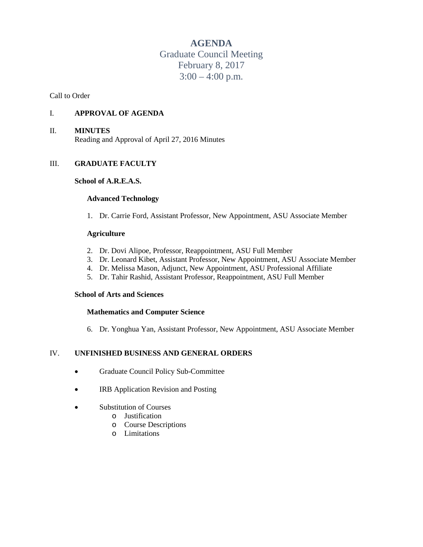# **AGENDA**

Graduate Council Meeting February 8, 2017  $3:00 - 4:00$  p.m.

Call to Order

# I. **APPROVAL OF AGENDA**

## II. **MINUTES**

Reading and Approval of April 27, 2016 Minutes

## III. **GRADUATE FACULTY**

#### **School of A.R.E.A.S.**

#### **Advanced Technology**

1. Dr. Carrie Ford, Assistant Professor, New Appointment, ASU Associate Member

#### **Agriculture**

- 2. Dr. Dovi Alipoe, Professor, Reappointment, ASU Full Member
- 3. Dr. Leonard Kibet, Assistant Professor, New Appointment, ASU Associate Member
- 4. Dr. Melissa Mason, Adjunct, New Appointment, ASU Professional Affiliate
- 5. Dr. Tahir Rashid, Assistant Professor, Reappointment, ASU Full Member

#### **School of Arts and Sciences**

## **Mathematics and Computer Science**

6. Dr. Yonghua Yan, Assistant Professor, New Appointment, ASU Associate Member

# IV. **UNFINISHED BUSINESS AND GENERAL ORDERS**

- Graduate Council Policy Sub-Committee
- IRB Application Revision and Posting
- Substitution of Courses
	- o Justification
	- o Course Descriptions
	- o Limitations